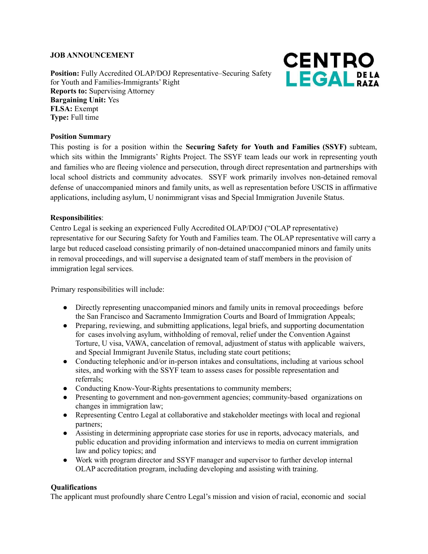## **JOB ANNOUNCEMENT**

**Position:** Fully Accredited OLAP/DOJ Representative–Securing Safety for Youth and Families-Immigrants' Right **Reports to:** Supervising Attorney **Bargaining Unit:** Yes **FLSA:** Exempt **Type:** Full time



#### **Position Summary**

This posting is for a position within the **Securing Safety for Youth and Families (SSYF)** subteam, which sits within the Immigrants' Rights Project. The SSYF team leads our work in representing youth and families who are fleeing violence and persecution, through direct representation and partnerships with local school districts and community advocates. SSYF work primarily involves non-detained removal defense of unaccompanied minors and family units, as well as representation before USCIS in affirmative applications, including asylum, U nonimmigrant visas and Special Immigration Juvenile Status.

#### **Responsibilities**:

Centro Legal is seeking an experienced Fully Accredited OLAP/DOJ ("OLAP representative) representative for our Securing Safety for Youth and Families team. The OLAP representative will carry a large but reduced caseload consisting primarily of non-detained unaccompanied minors and family units in removal proceedings, and will supervise a designated team of staff members in the provision of immigration legal services.

Primary responsibilities will include:

- Directly representing unaccompanied minors and family units in removal proceedings before the San Francisco and Sacramento Immigration Courts and Board of Immigration Appeals;
- Preparing, reviewing, and submitting applications, legal briefs, and supporting documentation for cases involving asylum, withholding of removal, relief under the Convention Against Torture, U visa, VAWA, cancelation of removal, adjustment of status with applicable waivers, and Special Immigrant Juvenile Status, including state court petitions;
- Conducting telephonic and/or in-person intakes and consultations, including at various school sites, and working with the SSYF team to assess cases for possible representation and referrals;
- Conducting Know-Your-Rights presentations to community members;
- Presenting to government and non-government agencies; community-based organizations on changes in immigration law;
- Representing Centro Legal at collaborative and stakeholder meetings with local and regional partners;
- Assisting in determining appropriate case stories for use in reports, advocacy materials, and public education and providing information and interviews to media on current immigration law and policy topics; and
- Work with program director and SSYF manager and supervisor to further develop internal OLAP accreditation program, including developing and assisting with training.

#### **Qualifications**

The applicant must profoundly share Centro Legal's mission and vision of racial, economic and social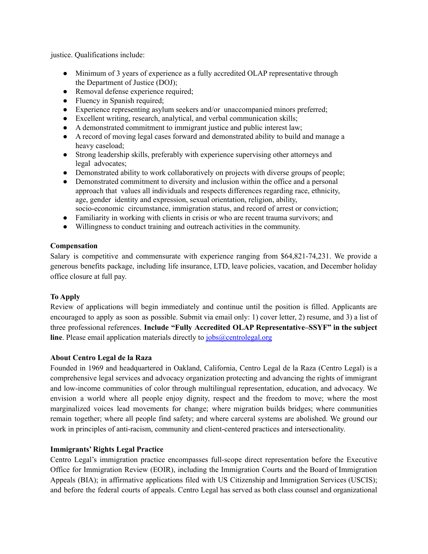justice. Qualifications include:

- Minimum of 3 years of experience as a fully accredited OLAP representative through the Department of Justice (DOJ);
- Removal defense experience required;
- Fluency in Spanish required;
- Experience representing asylum seekers and/or unaccompanied minors preferred;
- Excellent writing, research, analytical, and verbal communication skills;
- A demonstrated commitment to immigrant justice and public interest law;
- A record of moving legal cases forward and demonstrated ability to build and manage a heavy caseload;
- Strong leadership skills, preferably with experience supervising other attorneys and legal advocates;
- Demonstrated ability to work collaboratively on projects with diverse groups of people;
- Demonstrated commitment to diversity and inclusion within the office and a personal approach that values all individuals and respects differences regarding race, ethnicity, age, gender identity and expression, sexual orientation, religion, ability, socio-economic circumstance, immigration status, and record of arrest or conviction;
- Familiarity in working with clients in crisis or who are recent trauma survivors; and
- Willingness to conduct training and outreach activities in the community.

## **Compensation**

Salary is competitive and commensurate with experience ranging from \$64,821-74,231. We provide a generous benefits package, including life insurance, LTD, leave policies, vacation, and December holiday office closure at full pay.

# **To Apply**

Review of applications will begin immediately and continue until the position is filled. Applicants are encouraged to apply as soon as possible. Submit via email only: 1) cover letter, 2) resume, and 3) a list of three professional references. **Include "Fully Accredited OLAP Representative–SSYF" in the subject line**. Please email application materials directly to  $\frac{1}{10}$  of  $\frac{1}{10}$  of  $\frac{1}{10}$  org

# **About Centro Legal de la Raza**

Founded in 1969 and headquartered in Oakland, California, Centro Legal de la Raza (Centro Legal) is a comprehensive legal services and advocacy organization protecting and advancing the rights of immigrant and low-income communities of color through multilingual representation, education, and advocacy. We envision a world where all people enjoy dignity, respect and the freedom to move; where the most marginalized voices lead movements for change; where migration builds bridges; where communities remain together; where all people find safety; and where carceral systems are abolished. We ground our work in principles of anti-racism, community and client-centered practices and intersectionality.

# **Immigrants' Rights Legal Practice**

Centro Legal's immigration practice encompasses full-scope direct representation before the Executive Office for Immigration Review (EOIR), including the Immigration Courts and the Board of Immigration Appeals (BIA); in affirmative applications filed with US Citizenship and Immigration Services (USCIS); and before the federal courts of appeals. Centro Legal has served as both class counsel and organizational